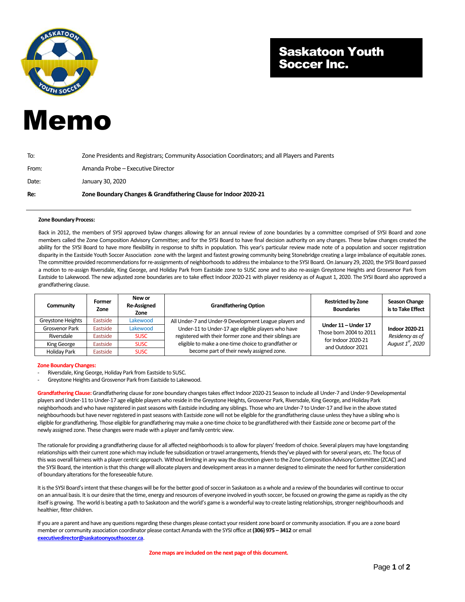

## Saskatoon Youth Soccer Inc.

## Memo

| Re:   | Zone Boundary Changes & Grandfathering Clause for Indoor 2020-21                                |  |  |
|-------|-------------------------------------------------------------------------------------------------|--|--|
| Date: | January 30, 2020                                                                                |  |  |
| From: | Amanda Probe – Executive Director                                                               |  |  |
| To:   | Zone Presidents and Registrars; Community Association Coordinators; and all Players and Parents |  |  |

## **Zone Boundary Process:**

Back in 2012, the members of SYSI approved bylaw changes allowing for an annual review of zone boundaries by a committee comprised of SYSI Board and zone members called the Zone Composition Advisory Committee; and for the SYSI Board to have final decision authority on any changes. These bylaw changes created the ability for the SYSI Board to have more flexibility in response to shifts in population. This year's particular review made note of a population and soccer registration disparity in the Eastside Youth Soccer Association zone with the largest and fastest growing community being Stonebridge creating a large imbalance of equitable zones. The committee provided recommendations for re-assignments of neighborhoods to address the imbalance to the SYSI Board. On January 29, 2020, the SYSI Board passed a motion to re-assign Riversdale, King George, and Holiday Park from Eastside zone to SUSC zone and to also re-assign Greystone Heights and Grosvenor Park from Eastside to Lakewood. The new adjusted zone boundaries are to take effect Indoor 2020-21 with player residency as of August 1, 2020. The SYSI Board also approved a grandfathering clause.

| Community         | Former<br>Zone | New or<br><b>Re-Assigned</b><br>Zone | <b>Grandfathering Option</b>                             | <b>Restricted by Zone</b><br><b>Boundaries</b>                                           | <b>Season Change</b><br>is to Take Effect                          |
|-------------------|----------------|--------------------------------------|----------------------------------------------------------|------------------------------------------------------------------------------------------|--------------------------------------------------------------------|
| Greystone Heights | Eastside       | Lakewood                             | All Under-7 and Under-9 Development League players and   | Under 11 - Under 17<br>Those born 2004 to 2011<br>for Indoor 2020-21<br>and Outdoor 2021 | Indoor 2020-21<br>Residency as of<br>August 1 <sup>st</sup> , 2020 |
| Grosvenor Park    | Eastside       | Lakewood                             | Under-11 to Under-17 age eligible players who have       |                                                                                          |                                                                    |
| Riversdale        | Eastside       | <b>SUSC</b>                          | registered with their former zone and their siblings are |                                                                                          |                                                                    |
| King George       | Eastside       | <b>SUSC</b>                          | eligible to make a one-time choice to grandfather or     |                                                                                          |                                                                    |
| Holiday Park      | Eastside       | <b>SUSC</b>                          | become part of their newly assigned zone.                |                                                                                          |                                                                    |

## **Zone Boundary Changes:**

- Riversdale, King George, Holiday Park from Eastside to SUSC.
- Greystone Heights and Grosvenor Park from Eastside to Lakewood.

**Grandfathering Clause:** Grandfathering clause for zone boundary changes takes effect Indoor 2020-21 Season to include all Under-7 and Under-9 Developmental players and Under-11 to Under-17 age eligible players who reside in the Greystone Heights, Grosvenor Park, Riversdale, King George, and Holiday Park neighborhoods and who have registered in past seasons with Eastside including any siblings. Those who are Under-7 to Under-17 and live in the above stated neighbourhoods but have neverregistered in past seasons with Eastside zone will not be eligible for the grandfathering clause unless they have a sibling who is eligible for grandfathering. Those eligible for grandfathering may make a one-time choice to be grandfathered with their Eastside zone or become part of the newly assigned zone. These changes were made with a player and family centric view.

The rationale for providing a grandfathering clause for all affected neighborhoods is to allow for players' freedom of choice. Several players may have longstanding relationships with their current zone which may include fee subsidization or travel arrangements, friends they've played with for several years, etc. The focus of this was overall fairness with a player centric approach. Without limiting in any way the discretion given to the Zone Composition Advisory Committee (ZCAC) and the SYSI Board, the intention is that this change will allocate players and development areas in a manner designed to eliminate the need for further consideration of boundary alterations for the foreseeable future.

It is the SYSI Board's intent that these changes will be for the better good of soccer in Saskatoon as a whole and a review of the boundaries will continue to occur on an annual basis. It is our desire that the time, energy and resources of everyone involved in youth soccer, be focused on growing the game as rapidly as the city itself is growing. The world is beating a path to Saskatoon and the world's game is a wonderful way to create lasting relationships, stronger neighbourhoods and healthier, fitter children.

If you are a parent and have any questions regarding these changes please contact your resident zone board or community association. If you are a zone board member or community association coordinator please contact Amanda with the SYSI office at **(306) 975 – 3412** or email **[executivedirector@saskatoonyouthsoccer.ca](mailto:executivedirector@saskatoonyouthsoccer.ca)**.

**Zone maps are included on the next page of this document.**